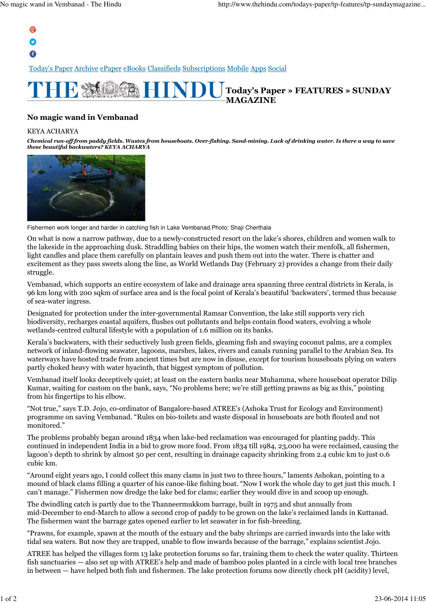## $\mathbf{Q}^+$ O

 $\bullet$ 

Today's Paper Archive ePaper eBooks Classifieds Subscriptions Mobile Apps Social



## No magic wand in Vembanad

## KEYA ACHARYA

Chemical run-off from paddy fields. Wastes from houseboats. Over-fishing. Sand-mining. Lack of drinking water. Is there a way to save these beautiful backwaters? KEYA ACHARYA



Fishermen work longer and harder in catching fish in Lake Vembanad.Photo: Shaji Cherthala

On what is now a narrow pathway, due to a newly-constructed resort on the lake's shores, children and women walk to the lakeside in the approaching dusk. Straddling babies on their hips, the women watch their menfolk, all fishermen, light candles and place them carefully on plantain leaves and push them out into the water. There is chatter and excitement as they pass sweets along the line, as World Wetlands Day (February 2) provides a change from their daily struggle.

Vembanad, which supports an entire ecosystem of lake and drainage area spanning three central districts in Kerala, is 96 km long with 200 sqkm of surface area and is the focal point of Kerala's beautiful 'backwaters', termed thus because of sea-water ingress.

Designated for protection under the inter-governmental Ramsar Convention, the lake still supports very rich biodiversity, recharges coastal aquifers, flushes out pollutants and helps contain flood waters, evolving a whole wetlands-centred cultural lifestyle with a population of 1.6 million on its banks.

Kerala's backwaters, with their seductively lush green fields, gleaming fish and swaying coconut palms, are a complex network of inland-flowing seawater, lagoons, marshes, lakes, rivers and canals running parallel to the Arabian Sea. Its waterways have hosted trade from ancient times but are now in disuse, except for tourism houseboats plying on waters partly choked heavy with water hyacinth, that biggest symptom of pollution.

Vembanad itself looks deceptively quiet; at least on the eastern banks near Muhamma, where houseboat operator Dilip Kumar, waiting for custom on the bank, says, "No problems here; we're still getting prawns as big as this," pointing from his fingertips to his elbow.

"Not true," says T.D. Jojo, co-ordinator of Bangalore-based ATREE's (Ashoka Trust for Ecology and Environment) programme on saving Vembanad. "Rules on bio-toilets and waste disposal in houseboats are both flouted and not monitored."

The problems probably began around 1834 when lake-bed reclamation was encouraged for planting paddy. This continued in independent India in a bid to grow more food. From 1834 till 1984, 23,000 ha were reclaimed, causing the lagoon's depth to shrink by almost 50 per cent, resulting in drainage capacity shrinking from 2.4 cubic km to just 0.6 cubic km.

"Around eight years ago, I could collect this many clams in just two to three hours," laments Ashokan, pointing to a mound of black clams filling a quarter of his canoe-like fishing boat. "Now I work the whole day to get just this much. I can't manage." Fishermen now dredge the lake bed for clams; earlier they would dive in and scoop up enough.

The dwindling catch is partly due to the Thanneermukkom barrage, built in 1975 and shut annually from mid-December to end-March to allow a second crop of paddy to be grown on the lake's reclaimed lands in Kuttanad. The fishermen want the barrage gates opened earlier to let seawater in for fish-breeding.

"Prawns, for example, spawn at the mouth of the estuary and the baby shrimps are carried inwards into the lake with tidal sea waters. But now they are trapped, unable to flow inwards because of the barrage," explains scientist Jojo.

ATREE has helped the villages form 13 lake protection forums so far, training them to check the water quality. Thirteen fish sanctuaries — also set up with ATREE's help and made of bamboo poles planted in a circle with local tree branches in between — have helped both fish and fishermen. The lake protection forums now directly check pH (acidity) level,